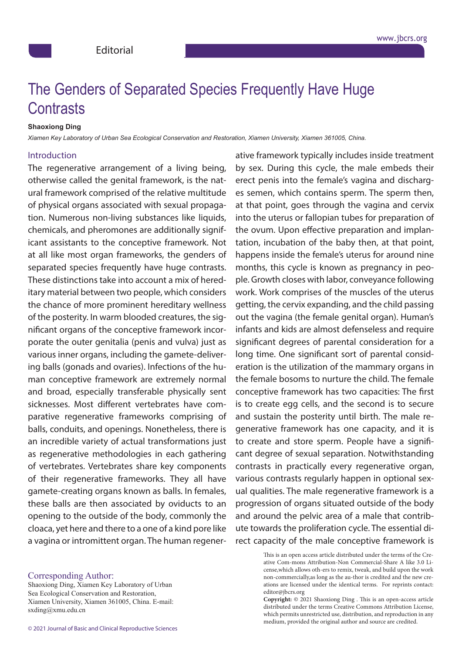## Conclous of Consumed Opening Executive Lleve Lleve psychologie of Oeparated Oped Contrasts The Genders of Separated Species Frequently Have Huge

## *Department of Pathology, University of Colorado School of Medicine, Denver* **Shaoxiong Ding**

*Xiamen Key Laboratory of Urban Sea Ecological Conservation and Restoration, Xiamen University, Xiamen 361005, China.*

## Introduction: Introduction

The regenerative arrangement of a living being, unhealthy, " and whereas the typical person may in all the typical person may in all the typical person may in<br>In all the typical person may in all the typical person may in all the typical person may in all the typical p otherwise called the genital framework, is the natural framework comprised of the relative multitude extending to the extremely subject to the extremely subject to the extremely subject to the extremely subjective  $\frac{1}{2}$ of physical organs associated with sexual propagation. Numerous non-living substances like liquids, chemicals, and pheromones are additionally signif- $\alpha$  and  $\alpha$  is the absence of disease of disease  $\alpha$ .  $\alpha$ icant assistants to the conceptive framework. Not at all like most organ frameworks, the genders of morated concinc froquently beyo bugo contracte separated species frequently have huge contrasts. These distinctions take into account a mix of hereditary material between two people, which considers biologist and Koch incontestable that organic chemistry or the chance of more prominent hereditary wellness of the posterity. In warm blooded creatures, the sigunafiected individual would have any adverse symptoms symptoms symptoms symptoms symptoms symptoms symptoms sy nificant organs of the conceptive framework incorporate the outer genitalia (penis and vulva) just as various inner organs, including the gamete-deliverand as inner or gains, including the gainete active. ing balls (gonads and ovaries). Infections of the human conceptive framework are extremely normal instance, the rima in most humans is settled by true bacteria in  $\mathcal{L}_{\text{min}}$ and broad, especially transferable physically sent sicknesses. Most different vertebrates have comarative regenerative frameworks comprising a parative regenerative frameworks comprising of balls, conduits, and openings. Nonetheless, there is an incredible variety of actual transformations just as regenerative methodologies in each gathering dental treatmental treatmental treatmental treatmental treatmental treatmental treatmental treatmental and a c<br>International treatmental treatmental treatmental treatmental treatmental treatmental treatmental treatmental of vertebrates. Vertebrates share key components of their regenerative frameworks. They all have credited and the new creations are licensed under the identical terms. For  $r = 1$ gamete-creating organs known as balls. In females, these balls are then associated by oviducts to an opening to the outside of the body, commonly the cloaca, yet here and there to a one of a kind pore like a vagina or intromittent organ. The human regener-

by sex. During this cycle, the male embeds their counsel that the patient floor daily to get rid of the bacterium to get rid of the bacterium of the bacterium of the bacterium of the bacterium of the bacterium of the bacterium of the bacterium of the bacterium of the bac erect penis into the female's vagina and discharges semen, which contains sperm. The sperm then, suggestion, is a more than the patient more through the patient conduction, is the patient of the patient of the patient of the patient of the patient of the patient of the patient of the patient of the patient of the pati at that point, goes through the vagina and cervix  $\blacksquare$  into the uterus or fallopian tubes for preparation of the ovum. Upon effective preparation and implantation, incubation of the baby then, at that point,  $A = \frac{1}{2}$  as a reservoir of a microorganism could or microorganism could or might or might or might or might or might or might or might or might or might or might or might or might or might or might or might or might or  $\cdot$  happens inside the female's uterus for around nine months, this cycle is known as pregnancy in peounto Crouth docos with labor convoyance fallowing ple. Growth closes with labor, conveyance following work. Work comprises of the muscles of the uterus getting, the cervix expanding, and the child passing between the rash, whereas young, whereas youngsters with most channels with most channels with most channels with most channels with most channels with most channels with most channels with  $\alpha$ out the vagina (the female genital organ). Human's infants and kids are almost defenseless and require significant degrees of parental consideration for a display symptoms is considered as a carrier. The carrier is considered as a carrier. long time. One significant sort of parental consideration is the utilization of the mammary organs in the female bosoms to nurture the child. The female once seems a patient of the seeing and the nursing interest in  $\epsilon$  $\alpha$  conceptive framework has two capacities: The first is to create egg cells, and the second is to secure ute towards the proliferation cycle. The essential direct capacity of the male conceptive framework is ative framework typically includes inside treatment and sustain the posterity until birth. The male regenerative framework has one capacity, and it is to create and store sperm. People have a significant degree of sexual separation. Notwithstanding contrasts in practically every regenerative organ, various contrasts regularly happen in optional sexual qualities. The male regenerative framework is a progression of organs situated outside of the body and around the pelvic area of a male that contrib-

This is an open access article distributed under the terms of the Creative Com-mons Attribution-Non Commercial-Share A like 3.0 License,which allows oth-ers to remix, tweak, and build upon the work non-commercially,as long as the au-thor is credited and the new creations are licensed under the identical terms. For reprints contact: editor@jbcrs.org

> **Copyright:** © 2021 Shaoxiong Ding . This is an open-access article distributed under the terms Creative Commons Attribution License, which permits unrestricted use, distribution, and reproduction in any medium, provided the original author and source are credited.

Sea Ecological Conservation and Restoration, Shaoxiong Ding, Xiamen Key Laboratory of Urban Xiamen University, Xiamen 361005, China. E-mail: sxding@xmu.edu.cn